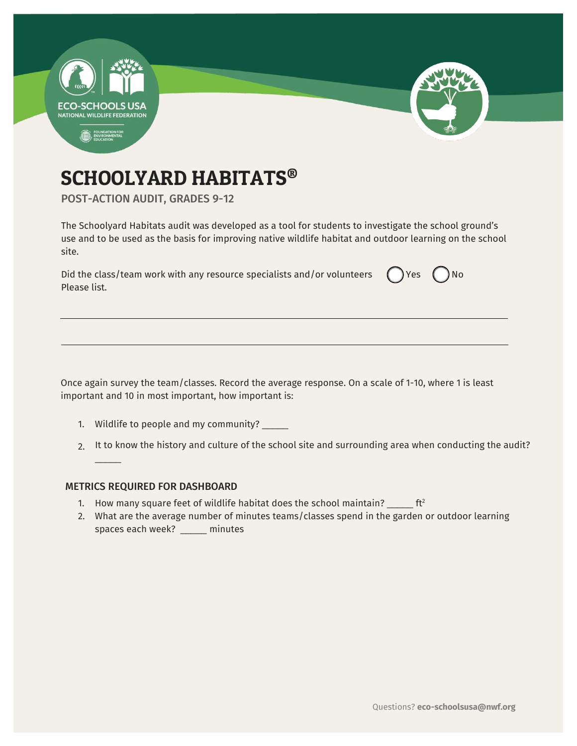

# SCHOOLYARD HABITATS®

POST-ACTION AUDIT, GRADES 9-12

The Schoolyard Habitats audit was developed as a tool for students to investigate the school ground's use and to be used as the basis for improving native wildlife habitat and outdoor learning on the school site.

| Did the class/team work with any resource specialists and/or volunteers $\bigcirc$ Yes $\bigcirc$ No |  |
|------------------------------------------------------------------------------------------------------|--|
| Please list.                                                                                         |  |

Once again survey the team/classes. Record the average response. On a scale of 1-10, where 1 is least important and 10 in most important, how important is:

- 1. Wildlife to people and my community? \_\_\_\_\_
- 2. It to know the history and culture of the school site and surrounding area when conducting the audit?

#### METRICS REQUIRED FOR DASHBOARD

 $\overline{\phantom{a}}$ 

- 1. How many square feet of wildlife habitat does the school maintain?  $\frac{1}{2}$  ft<sup>2</sup>
- 2. What are the average number of minutes teams/classes spend in the garden or outdoor learning spaces each week? \_\_\_\_\_ minutes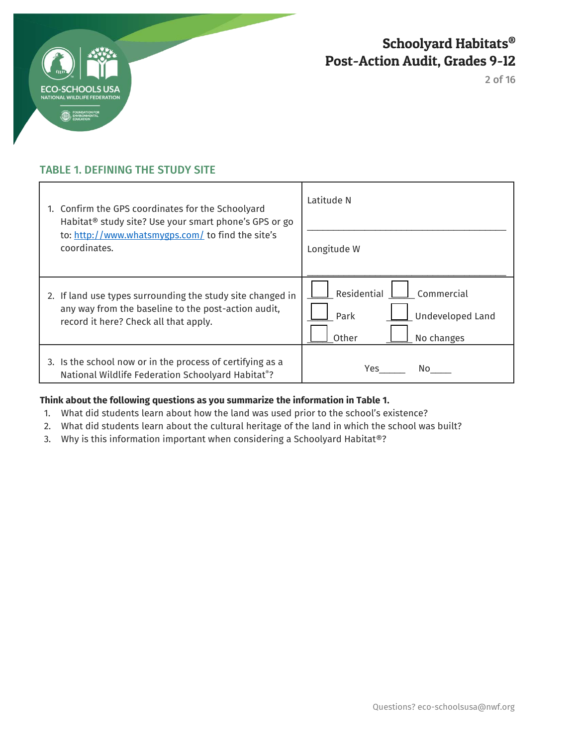

2 of 16

## TABLE 1. DEFINING THE STUDY SITE

| 1. Confirm the GPS coordinates for the Schoolyard<br>Habitat <sup>®</sup> study site? Use your smart phone's GPS or go<br>to: http://www.whatsmygps.com/ to find the site's<br>coordinates. | Latitude N                                                                          |
|---------------------------------------------------------------------------------------------------------------------------------------------------------------------------------------------|-------------------------------------------------------------------------------------|
|                                                                                                                                                                                             | Longitude W                                                                         |
| 2. If land use types surrounding the study site changed in<br>any way from the baseline to the post-action audit,<br>record it here? Check all that apply.                                  | Residential<br>Commercial<br><b>Undeveloped Land</b><br>Park<br>Other<br>No changes |
| 3. Is the school now or in the process of certifying as a<br>National Wildlife Federation Schoolyard Habitat®?                                                                              | Yes<br>No.                                                                          |

### **Think about the following questions as you summarize the information in Table 1.**

- 1. What did students learn about how the land was used prior to the school's existence?
- 2. What did students learn about the cultural heritage of the land in which the school was built?
- 3. Why is this information important when considering a Schoolyard Habitat®?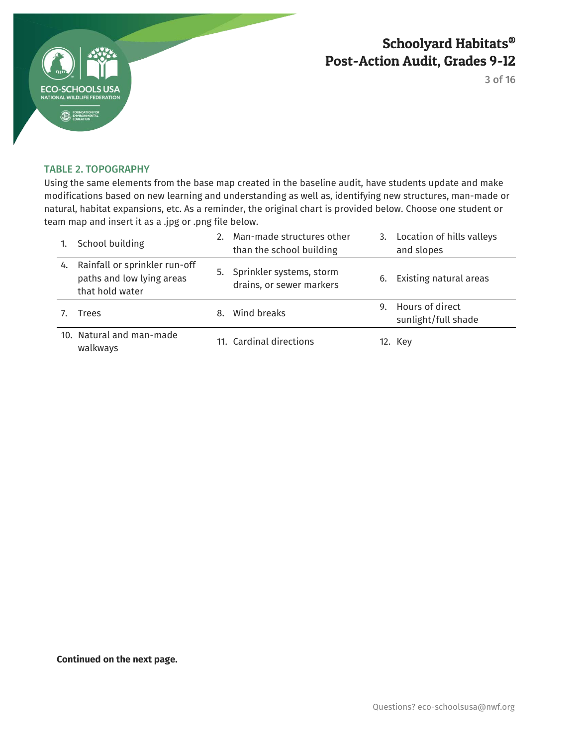

3 of 16

#### TABLE 2. TOPOGRAPHY

Using the same elements from the base map created in the baseline audit, have students update and make modifications based on new learning and understanding as well as, identifying new structures, man-made or natural, habitat expansions, etc. As a reminder, the original chart is provided below. Choose one student or team map and insert it as a .jpg or .png file below.

|    | School building                                                               |    | 2. Man-made structures other<br>than the school building |    | 3. Location of hills valleys<br>and slopes |
|----|-------------------------------------------------------------------------------|----|----------------------------------------------------------|----|--------------------------------------------|
| 4. | Rainfall or sprinkler run-off<br>paths and low lying areas<br>that hold water |    | 5. Sprinkler systems, storm<br>drains, or sewer markers  | 6. | Existing natural areas                     |
|    | Trees                                                                         | 8. | Wind breaks                                              |    | 9. Hours of direct<br>sunlight/full shade  |
|    | 10. Natural and man-made<br>walkways                                          |    | 11. Cardinal directions                                  |    | 12. Key                                    |

**Continued on the next page.**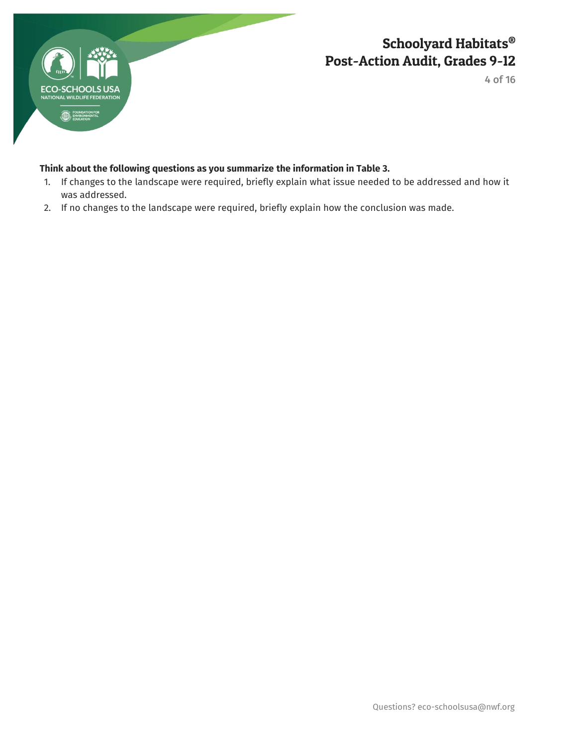

4 of 16

### **Think about the following questions as you summarize the information in Table 3.**

- 1. If changes to the landscape were required, briefly explain what issue needed to be addressed and how it was addressed.
- 2. If no changes to the landscape were required, briefly explain how the conclusion was made.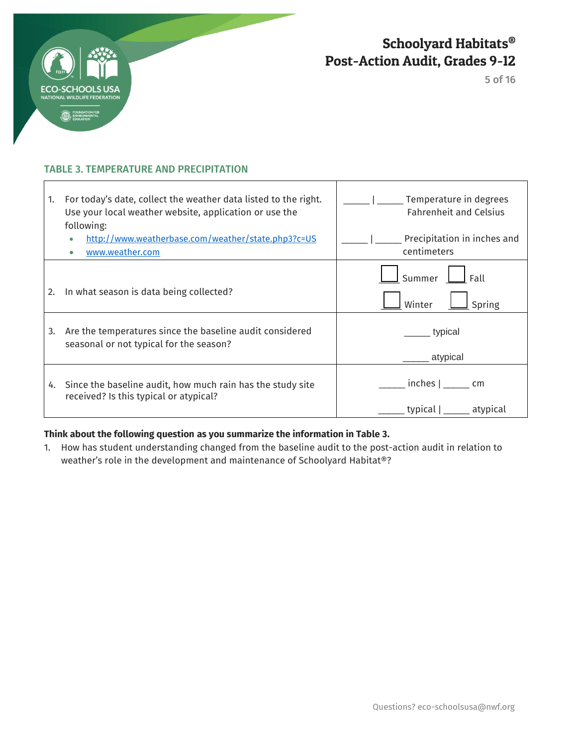

 $\overline{1}$ 

Schoolyard Habitats® Post-Action Audit, Grades 9-12

5 of 16

┑

### TABLE 3. TEMPERATURE AND PRECIPITATION

| 1. | For today's date, collect the weather data listed to the right.<br>Use your local weather website, application or use the<br>following: | Temperature in degrees<br><b>Fahrenheit and Celsius</b> |
|----|-----------------------------------------------------------------------------------------------------------------------------------------|---------------------------------------------------------|
|    | http://www.weatherbase.com/weather/state.php3?c=US<br>www.weather.com                                                                   | Precipitation in inches and<br>centimeters              |
| 2. | In what season is data being collected?                                                                                                 | Summer<br>Fall<br>Winter<br>Spring                      |
| 3. | Are the temperatures since the baseline audit considered<br>seasonal or not typical for the season?                                     | typical<br>atypical                                     |
| 4. | Since the baseline audit, how much rain has the study site<br>received? Is this typical or atypical?                                    | $inches  $ ________ cm<br>typical  <br>atypical         |

Т

### **Think about the following question as you summarize the information in Table 3.**

1. How has student understanding changed from the baseline audit to the post-action audit in relation to weather's role in the development and maintenance of Schoolyard Habitat®?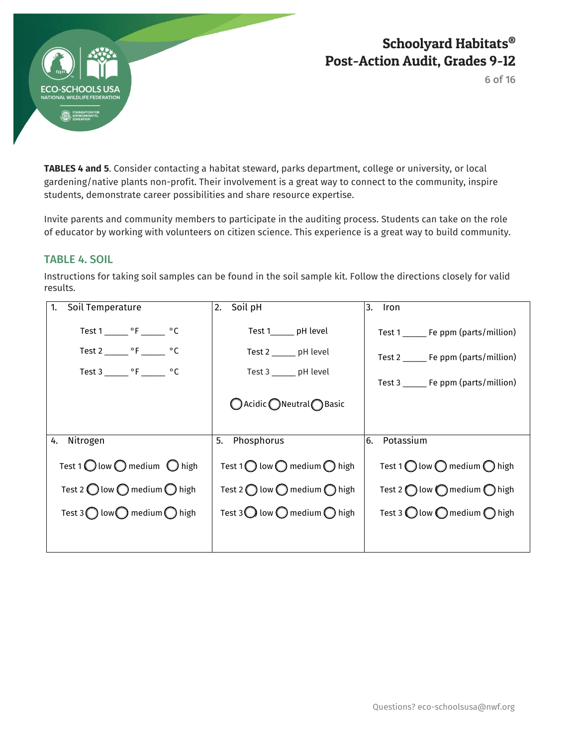

6 of 16

**TABLES 4 and 5**. Consider contacting a habitat steward, parks department, college or university, or local gardening/native plants non-profit. Their involvement is a great way to connect to the community, inspire students, demonstrate career possibilities and share resource expertise.

Invite parents and community members to participate in the auditing process. Students can take on the role of educator by working with volunteers on citizen science. This experience is a great way to build community.

### TABLE 4. SOIL

Instructions for taking soil samples can be found in the soil sample kit. Follow the directions closely for valid results.

| Soil Temperature                                                                                                                      | Soil pH                                                                                            | 3.                                                                                                                        |
|---------------------------------------------------------------------------------------------------------------------------------------|----------------------------------------------------------------------------------------------------|---------------------------------------------------------------------------------------------------------------------------|
| 1.                                                                                                                                    | 2.                                                                                                 | Iron                                                                                                                      |
| Test 1 _______ $\circ$ F _______ $\circ$ C<br>Test 2 _______ $\circ$ F ______ $\circ$ C<br>Test 3 _______ $\circ$ F _______ $\circ$ C | Test 1 pH level<br>Test 2 _______ pH level<br>Test 3 ______ pH level<br>○ Acidic ● Neutral ● Basic | Test 1 _______ Fe ppm (parts/million)<br>Test 2 ______ Fe ppm (parts/million)<br>Test $3 \_\_\_\_$ Fe ppm (parts/million) |
| Nitrogen                                                                                                                              | Phosphorus                                                                                         | Potassium                                                                                                                 |
| 4.                                                                                                                                    | 5.                                                                                                 | 6.                                                                                                                        |
| Test 1 $\bigcirc$ low $\bigcirc$ medium $\bigcirc$ high                                                                               | Test 1 $\bigcirc$ low $\bigcirc$ medium $\bigcirc$ high                                            | Test 1 $\bigcirc$ low $\bigcirc$ medium $\bigcirc$ high                                                                   |
| Test 2 $\bigcirc$ low $\bigcirc$ medium $\bigcirc$ high                                                                               | Test 2 $\bigcap$ low $\bigcap$ medium $\bigcap$ high                                               | Test 2 $\bigcap$ low $\bigcap$ medium $\bigcap$ high                                                                      |
| Test 3 $\bigcap$ low $\bigcap$ medium $\bigcap$ high                                                                                  | Test 3 $\bigcirc$ low $\bigcirc$ medium $\bigcirc$ high                                            | Test 3 $\bigcirc$ low $\bigcirc$ medium $\bigcirc$ high                                                                   |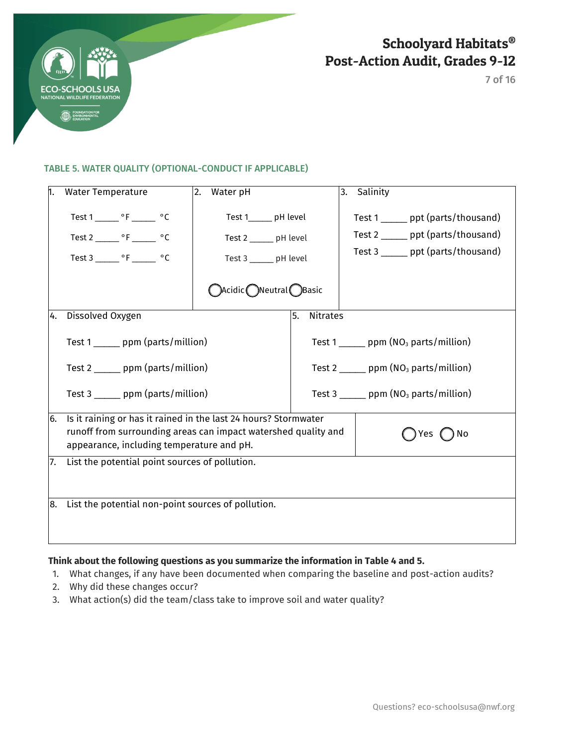

7 of 16

#### TABLE 5. WATER QUALITY (OPTIONAL-CONDUCT IF APPLICABLE)

| 1.  | <b>Water Temperature</b>                                                                                                                                                                      | Water pH<br>2.                                                           |                       | Salinity<br>3.                                                                                                 |  |  |
|-----|-----------------------------------------------------------------------------------------------------------------------------------------------------------------------------------------------|--------------------------------------------------------------------------|-----------------------|----------------------------------------------------------------------------------------------------------------|--|--|
|     | Test $1 \_\_\_\$ °F $\_\_\_\$ °C<br>Test 2 _______ °F ______ °C<br>Test 3 _______ °F _______ °C                                                                                               | Test 1______ pH level<br>Test 2 _____ pH level<br>Test 3 ______ pH level |                       | Test 1 ______ ppt (parts/thousand)<br>Test 2 ______ ppt (parts/thousand)<br>Test 3 ______ ppt (parts/thousand) |  |  |
|     |                                                                                                                                                                                               | $\bigcirc$ Acidic $\bigcirc$ Neutral $\bigcirc$ Basic                    |                       |                                                                                                                |  |  |
| 4.  | Dissolved Oxygen                                                                                                                                                                              |                                                                          | <b>Nitrates</b><br>5. |                                                                                                                |  |  |
|     | Test 1 ______ ppm (parts/million)                                                                                                                                                             |                                                                          |                       | Test 1 ______ ppm ( $NO3$ parts/million)                                                                       |  |  |
|     | Test 2 _______ ppm (parts/million)                                                                                                                                                            |                                                                          |                       | Test 2 _______ ppm ( $NO3$ parts/million)                                                                      |  |  |
|     | Test 3 ______ ppm (parts/million)                                                                                                                                                             |                                                                          |                       | Test 3 $\frac{1}{2}$ ppm (NO <sub>3</sub> parts/million)                                                       |  |  |
| 6.  | Is it raining or has it rained in the last 24 hours? Stormwater<br>runoff from surrounding areas can impact watershed quality and<br>) No<br>Yes<br>appearance, including temperature and pH. |                                                                          |                       |                                                                                                                |  |  |
| 17. | List the potential point sources of pollution.                                                                                                                                                |                                                                          |                       |                                                                                                                |  |  |
| 8.  | List the potential non-point sources of pollution.                                                                                                                                            |                                                                          |                       |                                                                                                                |  |  |

### **Think about the following questions as you summarize the information in Table 4 and 5.**

- 1. What changes, if any have been documented when comparing the baseline and post-action audits?
- 2. Why did these changes occur?
- 3. What action(s) did the team/class take to improve soil and water quality?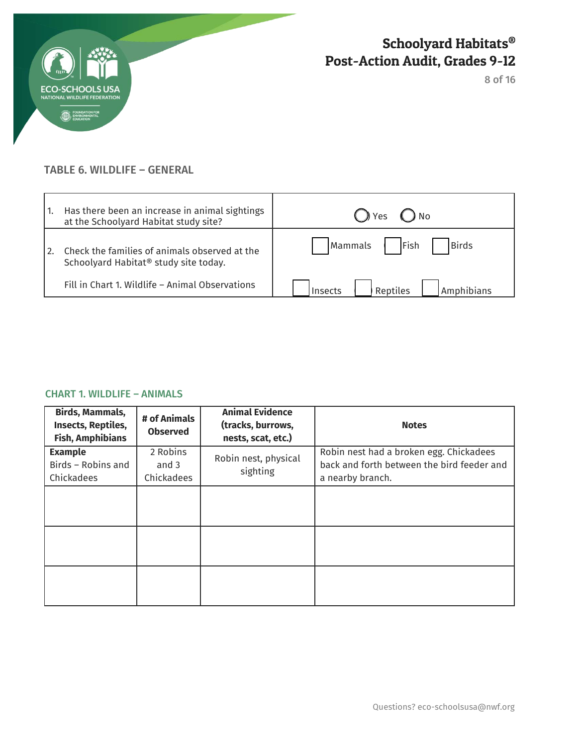

8 of 16

### TABLE 6. WILDLIFE – GENERAL

| Has there been an increase in animal sightings<br>at the Schoolyard Habitat study site?            | () Yes<br>$()$ No                 |
|----------------------------------------------------------------------------------------------------|-----------------------------------|
| Check the families of animals observed at the<br>Schoolyard Habitat <sup>®</sup> study site today. | Fish<br>Birds<br>Mammals          |
| Fill in Chart 1. Wildlife - Animal Observations                                                    | Reptiles<br>Amphibians<br>Insects |

### CHART 1. WILDLIFE – ANIMALS

| Birds, Mammals,<br><b>Insects, Reptiles,</b><br><b>Fish, Amphibians</b> | # of Animals<br><b>Observed</b> | <b>Animal Evidence</b><br>(tracks, burrows,<br>nests, scat, etc.) | <b>Notes</b>                                                                                              |
|-------------------------------------------------------------------------|---------------------------------|-------------------------------------------------------------------|-----------------------------------------------------------------------------------------------------------|
| <b>Example</b><br>Birds - Robins and<br>Chickadees                      | 2 Robins<br>and 3<br>Chickadees | Robin nest, physical<br>sighting                                  | Robin nest had a broken egg. Chickadees<br>back and forth between the bird feeder and<br>a nearby branch. |
|                                                                         |                                 |                                                                   |                                                                                                           |
|                                                                         |                                 |                                                                   |                                                                                                           |
|                                                                         |                                 |                                                                   |                                                                                                           |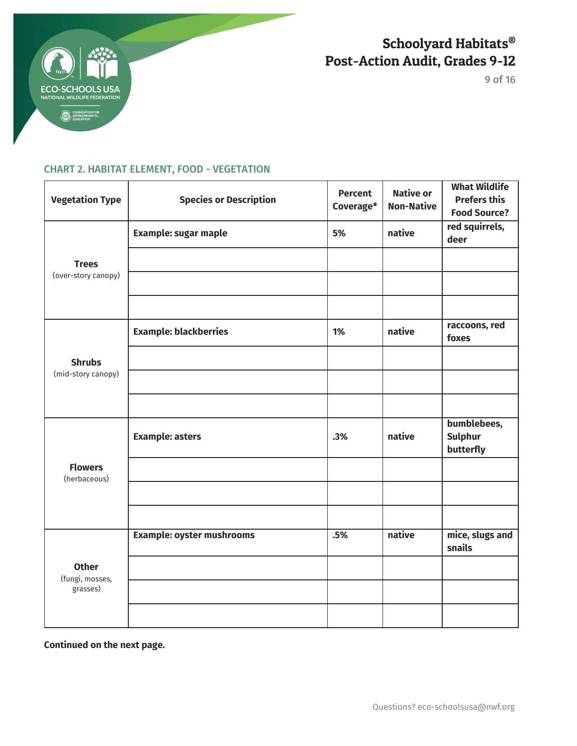

9 of 16

## CHART 2. HABITAT ELEMENT, FOOD - VEGETATION

| <b>Vegetation Type</b>              | <b>Species or Description</b>    | <b>Percent</b><br>Coverage* | <b>Native or</b><br><b>Non-Native</b> | <b>What Wildlife</b><br><b>Prefers this</b><br><b>Food Source?</b> |
|-------------------------------------|----------------------------------|-----------------------------|---------------------------------------|--------------------------------------------------------------------|
|                                     | <b>Example: sugar maple</b>      | 5%                          | native                                | red squirrels,<br>deer                                             |
| <b>Trees</b><br>(over-story canopy) |                                  |                             |                                       |                                                                    |
|                                     |                                  |                             |                                       |                                                                    |
|                                     |                                  |                             |                                       |                                                                    |
|                                     | <b>Example: blackberries</b>     | 1%                          | native                                | raccoons, red<br>foxes                                             |
| <b>Shrubs</b>                       |                                  |                             |                                       |                                                                    |
| (mid-story canopy)                  |                                  |                             |                                       |                                                                    |
|                                     |                                  |                             |                                       |                                                                    |
|                                     | <b>Example: asters</b>           | .3%                         | native                                | bumblebees,<br><b>Sulphur</b><br>butterfly                         |
| <b>Flowers</b><br>(herbaceous)      |                                  |                             |                                       |                                                                    |
|                                     |                                  |                             |                                       |                                                                    |
|                                     |                                  |                             |                                       |                                                                    |
|                                     | <b>Example: oyster mushrooms</b> | .5%                         | native                                | mice, slugs and<br>snails                                          |
| <b>Other</b><br>(fungi, mosses,     |                                  |                             |                                       |                                                                    |
| grasses)                            |                                  |                             |                                       |                                                                    |
|                                     |                                  |                             |                                       |                                                                    |

**Continued on the next page.**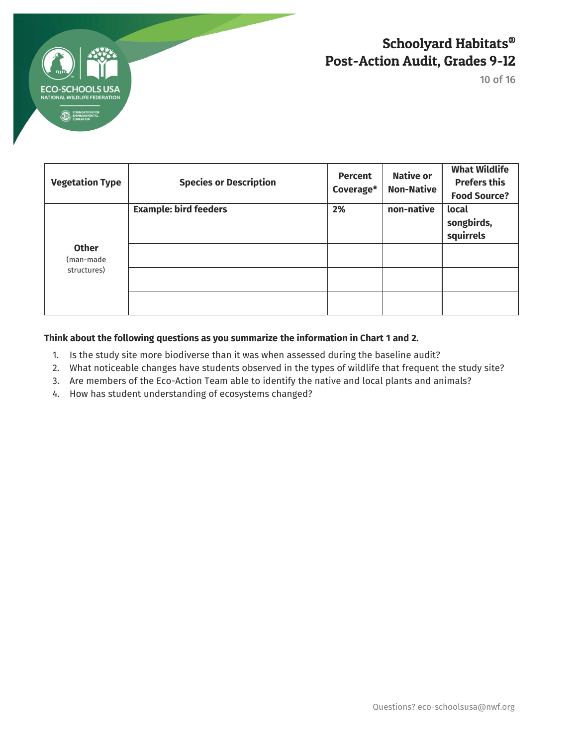

10 of 16

| <b>Vegetation Type</b>                   | <b>Species or Description</b> | <b>Percent</b><br>Coverage* | <b>Native or</b><br><b>Non-Native</b> | <b>What Wildlife</b><br><b>Prefers this</b><br><b>Food Source?</b> |
|------------------------------------------|-------------------------------|-----------------------------|---------------------------------------|--------------------------------------------------------------------|
|                                          | <b>Example: bird feeders</b>  | 2%                          | non-native                            | local<br>songbirds,<br>squirrels                                   |
| <b>Other</b><br>(man-made<br>structures) |                               |                             |                                       |                                                                    |
|                                          |                               |                             |                                       |                                                                    |

### **Think about the following questions as you summarize the information in Chart 1 and 2.**

- 1. Is the study site more biodiverse than it was when assessed during the baseline audit?
- 2. What noticeable changes have students observed in the types of wildlife that frequent the study site?
- 3. Are members of the Eco-Action Team able to identify the native and local plants and animals?
- 4. How has student understanding of ecosystems changed?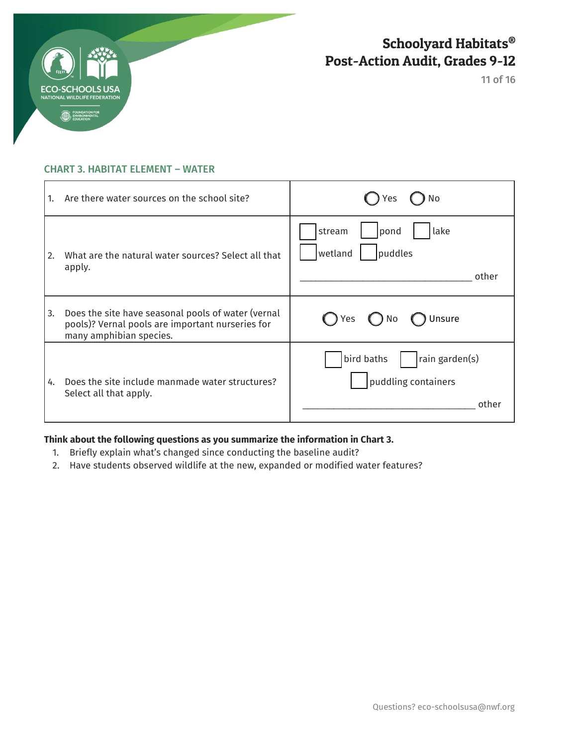

11 of 16

### CHART 3. HABITAT ELEMENT – WATER

| 1.          | Are there water sources on the school site?                                                                                       | No<br>Yes                                                    |
|-------------|-----------------------------------------------------------------------------------------------------------------------------------|--------------------------------------------------------------|
| <u>  2.</u> | What are the natural water sources? Select all that<br>apply.                                                                     | stream<br>lake<br>pond<br>wetland<br>puddles<br>other        |
| 3.          | Does the site have seasonal pools of water (vernal<br>pools)? Vernal pools are important nurseries for<br>many amphibian species. | Unsure<br>( ) Yes<br>$()$ No                                 |
| 4.          | Does the site include manmade water structures?<br>Select all that apply.                                                         | bird baths<br>rain garden(s)<br>puddling containers<br>other |

### **Think about the following questions as you summarize the information in Chart 3.**

- 1. Briefly explain what's changed since conducting the baseline audit?
- 2. Have students observed wildlife at the new, expanded or modified water features?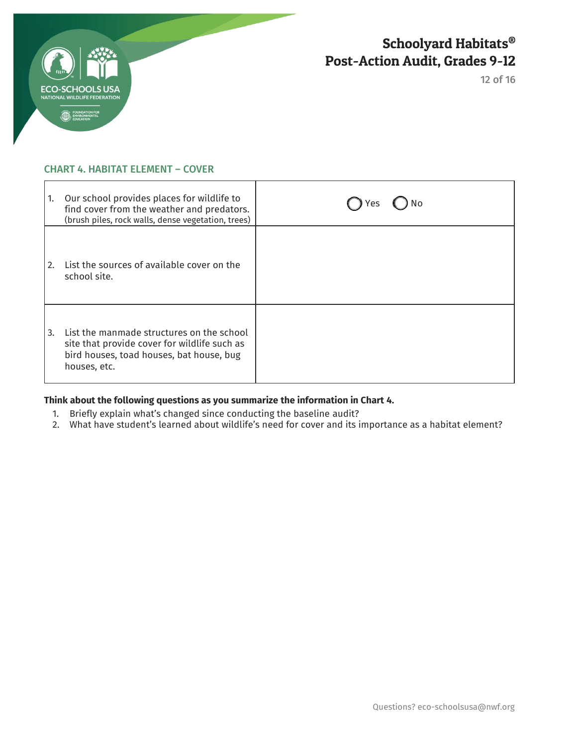

12 of 16

#### CHART 4. HABITAT ELEMENT – COVER

| 1. | Our school provides places for wildlife to<br>find cover from the weather and predators.<br>(brush piles, rock walls, dense vegetation, trees)        | Yes |
|----|-------------------------------------------------------------------------------------------------------------------------------------------------------|-----|
| 2. | List the sources of available cover on the<br>school site.                                                                                            |     |
| 3. | List the manmade structures on the school<br>site that provide cover for wildlife such as<br>bird houses, toad houses, bat house, bug<br>houses, etc. |     |

### **Think about the following questions as you summarize the information in Chart 4.**

- 1. Briefly explain what's changed since conducting the baseline audit?
- 2. What have student's learned about wildlife's need for cover and its importance as a habitat element?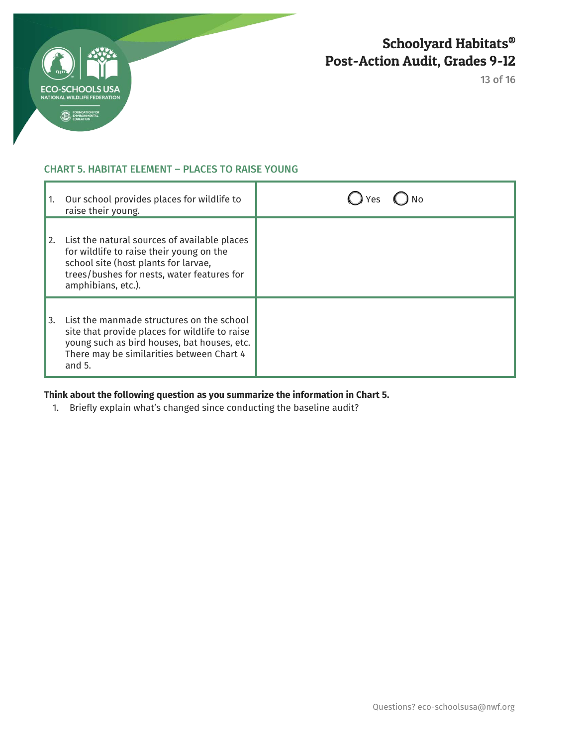

13 of 16

### CHART 5. HABITAT ELEMENT – PLACES TO RAISE YOUNG

| 1. | Our school provides places for wildlife to<br>raise their young.                                                                                                                                     |  |
|----|------------------------------------------------------------------------------------------------------------------------------------------------------------------------------------------------------|--|
| 2. | List the natural sources of available places<br>for wildlife to raise their young on the<br>school site (host plants for larvae,<br>trees/bushes for nests, water features for<br>amphibians, etc.). |  |
| 3. | List the manmade structures on the school<br>site that provide places for wildlife to raise<br>young such as bird houses, bat houses, etc.<br>There may be similarities between Chart 4<br>and $5.$  |  |

### **Think about the following question as you summarize the information in Chart 5.**

1. Briefly explain what's changed since conducting the baseline audit?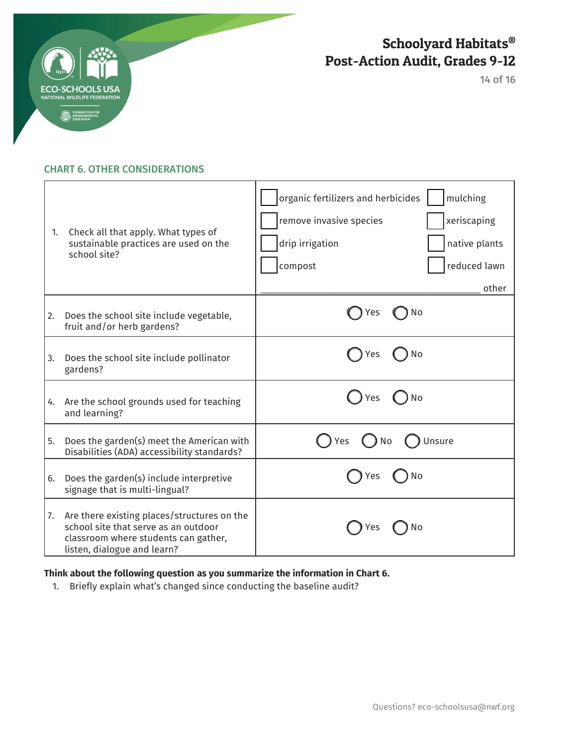

14 of 16

### CHART 6. OTHER CONSIDERATIONS

| 1. | Check all that apply. What types of<br>sustainable practices are used on the<br>school site?                                                               | organic fertilizers and herbicides<br>mulching<br>remove invasive species<br>xeriscaping<br>drip irrigation<br>native plants<br>compost<br>reduced lawn<br>other |
|----|------------------------------------------------------------------------------------------------------------------------------------------------------------|------------------------------------------------------------------------------------------------------------------------------------------------------------------|
| 2. | Does the school site include vegetable,<br>fruit and/or herb gardens?                                                                                      | ) No<br>Yes                                                                                                                                                      |
| 3. | Does the school site include pollinator<br>gardens?                                                                                                        | Yes<br>No                                                                                                                                                        |
| 4. | Are the school grounds used for teaching<br>and learning?                                                                                                  | Yes<br>No                                                                                                                                                        |
| 5. | Does the garden(s) meet the American with<br>Disabilities (ADA) accessibility standards?                                                                   | Unsure<br>Yes<br>No                                                                                                                                              |
| 6. | Does the garden(s) include interpretive<br>signage that is multi-lingual?                                                                                  | No<br>Yes                                                                                                                                                        |
| 7. | Are there existing places/structures on the<br>school site that serve as an outdoor<br>classroom where students can gather,<br>listen, dialogue and learn? | No<br>Y es                                                                                                                                                       |

### **Think about the following question as you summarize the information in Chart 6.**

1. Briefly explain what's changed since conducting the baseline audit?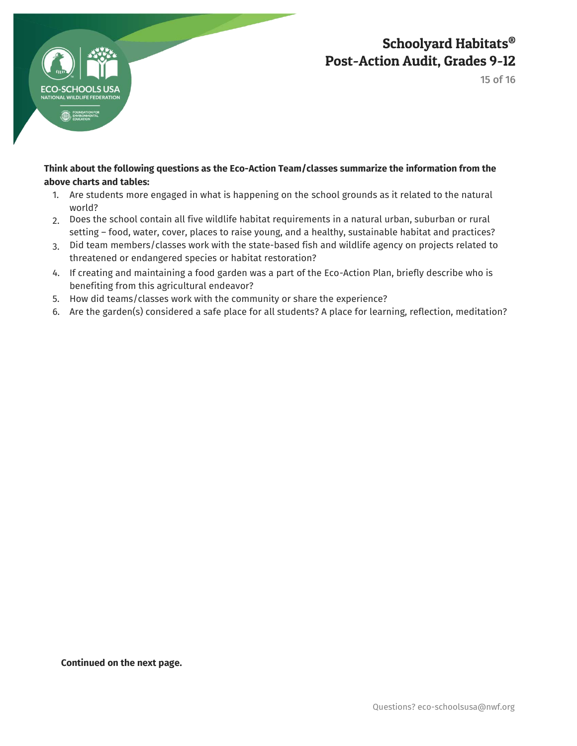

15 of 16

### **Think about the following questions as the Eco-Action Team/classes summarize the information from the above charts and tables:**

- 1. Are students more engaged in what is happening on the school grounds as it related to the natural world?
- 2. Does the school contain all five wildlife habitat requirements in a natural urban, suburban or rural setting – food, water, cover, places to raise young, and a healthy, sustainable habitat and practices?
- 3. Did team members/classes work with the state-based fish and wildlife agency on projects related to threatened or endangered species or habitat restoration?
- 4. If creating and maintaining a food garden was a part of the Eco-Action Plan, briefly describe who is benefiting from this agricultural endeavor?
- 5. How did teams/classes work with the community or share the experience?
- 6. Are the garden(s) considered a safe place for all students? A place for learning, reflection, meditation?

**Continued on the next page.**